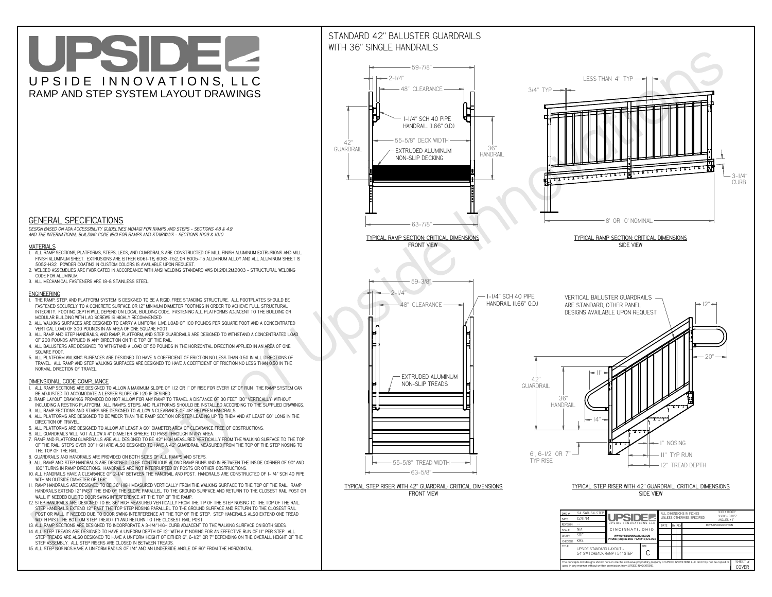**C**The concepts and designs shown here-in are the exclusive proprietary property of UPSIDE INNOVATIONS LLC. and may not be copied o

**I** 

**used in any manner without written permission from UPSIDE INNOVATIONS.**

# UPSIDEL UPSIDE INNOVATIONS, LLC RAMP AND STEP SYSTEM LAYOUT DRAWINGS

SHEET #**COVER**

54' SWITCHBACK RAMP / 54" STEP



# WITH 36" SINGLE HANDRAILS



 *DESIGN BASED ON ADA ACCESSIBILITY GUIDELINES (ADAAG) FOR RAMPS AND STEPS - SECTIONS 4.8 & 4.9AND THE INTERNATIONAL BUILDING CODE (IBC) FOR RAMPS AND STAIRWAYS - SECTIONS 1009 & 1010*

### **MATERIALS**

- **1. ALL RAMP SECTIONS, PLATFORMS, STEPS, LEGS, AND GUARDRAILS ARE CONSTRUCTED OF MILL FINISH ALUMINUM EXTRUSIONS AND MILL FINISH ALUMINUM SHEET. EXTRUSIONS ARE EITHER 6061-T6, 6063-T52, OR 6005-T5 ALUMINUM ALLOY AND ALL ALUMINUM SHEET IS 5052-H32. POWDER COATING IN CUSTOM COLORS IS AVAILABLE UPON REQUEST.**
- **2. WELDED ASSEMBLIES ARE FABRICATED IN ACCORDANCE WITH ANSI WELDING STANDARD AWS D1.2/D1.2M:2003 STRUCTURAL WELDING CODE FOR ALUMINUM.**
- **3. ALL MECHANICAL FASTENERS ARE 18-8 STAINLESS STEEL.**

#### **ENGINEERING**

- **1. THE RAMP, STEP, AND PLATFORM SYSTEM IS DESIGNED TO BE A RIGID, FREE STANDING STRUCTURE. ALL FOOTPLATES SHOULD BE FASTENED SECURELY TO A CONCRETE SURFACE OR 12" MINIMUM DIAMETER FOOTINGS IN ORDER TO ACHIEVE FULL STRUCTURAL INTEGRITY. FOOTING DEPTH WILL DEPEND ON LOCAL BUILDING CODE. FASTENING ALL PLATFORMS ADJACENT TO THE BUILDING OR MODULAR BUILDING WITH LAG SCREWS IS HIGHLY RECOMMENDED.**
- **2. ALL WALKING SURFACES ARE DESIGNED TO CARRY A UNIFORM LIVE LOAD OF 100 POUNDS PER SQUARE FOOT AND A CONCENTRATED VERTICAL LOAD OF 300 POUNDS IN AN AREA OF ONE SQUARE FOOT.**
- **3. ALL RAMP AND STEP HANDRAILS, AND RAMP, PLATFORM, AND STEP GUARDRAILS ARE DESIGNED TO WITHSTAND A CONCENTRATED LOAD OF 200 POUNDS APPLIED IN ANY DIRECTION ON THE TOP OF THE RAIL.**
- **4. ALL BALUSTERS ARE DESIGNED TO WITHSTAND A LOAD OF 50 POUNDS IN THE HORIZONTAL DIRECTION APPLIED IN AN AREA OF ONE SQUARE FOOT.**
- **5. ALL PLATFORM WALKING SURFACES ARE DESIGNED TO HAVE A COEFFICIENT OF FRICTION NO LESS THAN 0.50 IN ALL DIRECTIONS OF TRAVEL. ALL RAMP AND STEP WALKING SURFACES ARE DESIGNED TO HAVE A COEFFICIENT OF FRICTION NO LESS THAN 0.50 IN THE NORMAL DIRECTION OF TRAVEL.**

### **DIMENSIONAL CODE COMPLIANCE**

- **1. ALL RAMP SECTIONS ARE DESIGNED TO ALLOW A MAXIMUM SLOPE OF 1:12 OR 1" OF RISE FOR EVERY 12" OF RUN. THE RAMP SYSTEM CAN BE ADJUSTED TO ACCOMODATE A LESSER SLOPE OF 1:20 IF DESIRED.**
- **2. RAMP LAYOUT DRAWINGS PROVIDED DO NOT ALLOW FOR ANY RAMP TO TRAVEL A DISTANCE OF 30 FEET (30" VERTICALLY) WITHOUT INCLUDING A RESTING PLATFORM. ALL RAMPS, STEPS, AND PLATFORMS SHOULD BE INSTALLED ACCORDING TO THE SUPPLIED DRAWINGS.**
- **3. ALL RAMP SECTIONS AND STAIRS ARE DESIGNED TO ALLOW A CLEARANCE OF 48" BETWEEN HANDRAILS.**
- **4. ALL PLATFORMS ARE DESIGNED TO BE WIDER THAN THE RAMP SECTION OR STEP LEADING UP TO THEM AND AT LEAST 60" LONG IN THE DIRECTION OF TRAVEL.**
- **5. ALL PLATFORMS ARE DESIGNED TO ALLOW AT LEAST A 60" DIAMETER AREA OF CLEARANCE FREE OF OBSTRUCTIONS.**
- **6. ALL GUARDRAILS WILL NOT ALLOW A 4" DIAMETER SPHERE TO PASS THROUGH IN ANY AREA.**
- **7. RAMP AND PLATFORM GUARDRAILS ARE ALL DESIGNED TO BE 42" HIGH MEASURED VERTICALLY FROM THE WALKING SURFACE TO THE TOP OF THE RAIL. STEPS OVER 30" HIGH ARE ALSO DESIGNED TO HAVE A 42" GUARDRAIL MEASURED FROM THE TOP OF THE STEP NOSING TO THE TOP OF THE RAIL.**
- **8. GUARDRAILS AND HANDRAILS ARE PROVIDED ON BOTH SIDES OF ALL RAMPS AND STEPS.**
- **9. ALL RAMP AND STEP HANDRAILS ARE DESIGNED TO BE CONTINUOUS ALONG RAMP RUNS AND IN BETWEEN THE INSIDE CORNER OF 90° AND 180° TURNS IN RAMP DIRECTIONS. HANDRAILS ARE NOT INTERRUPTED BY POSTS OR OTHER OBSTRUCTIONS.**
- **10. ALL HANDRAILS HAVE A CLEARANCE OF 2-1/4" BETWEEN THE HANDRAIL AND POST. HANDRAILS ARE CONSTRUCTED OF 1-1/4" SCH 40 PIPE WITH AN OUTSIDE DIAMETER OF 1.66"**
- **11. RAMP HANDRAILS ARE DESIGNED TO BE 36" HIGH MEASURED VERTICALLY FROM THE WALKING SURFACE TO THE TOP OF THE RAIL. RAMP HANDRAILS EXTEND 12" PAST THE END OF THE SLOPE PARALLEL TO THE GROUND SURFACE AND RETURN TO THE CLOSEST RAIL POST OR WALL IF NEEDED DUE TO DOOR SWING INTERFERENCE AT THE TOP OF THE RAMP.**
- **12. STEP HANDRAILS ARE DESIGNED TO BE 36" HIGH MEASURED VERTICALLY FROM THE TIP OF THE STEP NOSING TO THE TOP OF THE RAIL. STEP HANDRAILS EXTEND 12" PAST THE TOP STEP NOSING PARALLEL TO THE GROUND SURFACE AND RETURN TO THE CLOSEST RAIL POST OR WALL IF NEEDED DUE TO DOOR SWING INTERFERENCE AT THE TOP OF THE STEP. STEP HANDRAILS ALSO EXTEND ONE TREAD WIDTH PAST THE BOTTOM STEP TREAD (11") AND RETURN TO THE CLOSEST RAIL POST.**
- **13. ALL RAMP SECTIONS ARE DESIGNED TO INCORPORATE A 3-1/4" HIGH CURB ADJACENT TO THE WALKING SURFACE ON BOTH SIDES.**
- **14. ALL STEP TREADS ARE DESIGNED TO HAVE A UNIFORM DEPTH OF 12" WITH A 1" NOSING FOR AN EFFECTIVE RUN OF 11" PER STEP. ALL**
- **STEP TREADS ARE ALSO DESIGNED TO HAVE A UNIFORM HEIGHT OF EITHER 6", 6-1/2", OR 7" DEPENDING ON THE OVERALL HEIGHT OF THE STEP ASSEMBLY. ALL STEP RISERS ARE CLOSED IN BETWEEN TREADS.**
- **15. ALL STEP NOSINGS HAVE A UNIFORM RADIUS OF 1/4" AND AN UNDERSIDE ANGLE OF 60° FROM THE HORIZONTAL.**